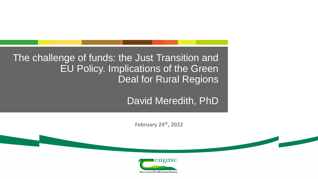The challenge of funds: the Just Transition and EU Policy. Implications of the Green Deal for Rural Regions

David Meredith, PhD

**February 24th, 2022**

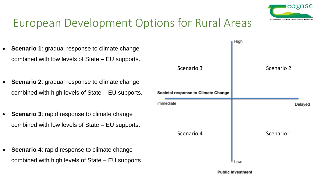

## European Development Options for Rural Areas

- **Scenario 1**: gradual response to climate change combined with low levels of State – EU supports.
- **Scenario 2**: gradual response to climate change combined with high levels of State – EU supports.
- **Scenario 3**: rapid response to climate change combined with low levels of State – EU supports.
- **Scenario 4**: rapid response to climate change combined with high levels of State – EU supports.

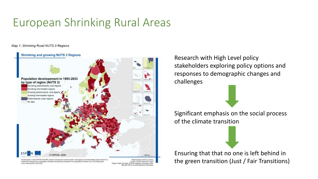## European Shrinking Rural Areas

Map 1: Shrinking Rural NUTS 3 Regions



es in the SSPON GSCAPE project convegend to predominantly rural regions and intermediate regions (NUTS) Shrinking commispond to a population decrease and growing correspond to a population increase over a 20-year-period in the coveral period 1993-2033

Regional level: NUTS 3 (20% Source: ESPON ESCAPE, 2020 stat, ESPON database, Nordregio 2020 CLINIS RIATE for administrative boundaries.

Research with High Level policy stakeholders exploring policy options and responses to demographic changes and challenges

Significant emphasis on the social process of the climate transition

Ensuring that that no one is left behind in the green transition (Just / Fair Transitions)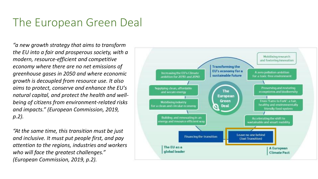### The European Green Deal

*"a new growth strategy that aims to transform the EU into a fair and prosperous society, with a modern, resource-efficient and competitive economy where there are no net emissions of greenhouse gases in 2050 and where economic growth is decoupled from resource use. It also aims to protect, conserve and enhance the EU's natural capital, and protect the health and wellbeing of citizens from environment-related risks and impacts." (European Commission, 2019, p.2).*

*"At the same time, this transition must be just and inclusive. It must put people first, and pay attention to the regions, industries and workers who will face the greatest challenges." (European Commission, 2019, p.2).*

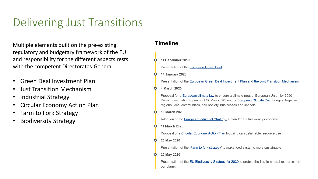## Delivering Just Transitions

Multiple elements built on the pre-existing regulatory and budgetary framework of the EU and responsibility for the different aspects rests with the competent Directorates-General

- Green Deal Investment Plan
- Just Transition Mechanism
- Industrial Strategy
- Circular Economy Action Plan
- Farm to Fork Strategy
- Biodiversity Strategy

#### **Timeline**

| 11 December 2019                                                                                                                                                                                                                                                         |
|--------------------------------------------------------------------------------------------------------------------------------------------------------------------------------------------------------------------------------------------------------------------------|
| Presentation of the European Green Deal                                                                                                                                                                                                                                  |
| <b>14 January 2020</b>                                                                                                                                                                                                                                                   |
| Presentation of the European Green Deal Investment Plan and the Just Transition Mechanism                                                                                                                                                                                |
| 4 March 2020                                                                                                                                                                                                                                                             |
| Proposal for a <b>European climate law</b> to ensure a climate neutral European Union by 2050<br>Public consultation (open until 27 May 2020) on the <b>European Climate Pact</b> bringing together<br>regions, local communities, civil society, businesses and schools |
| 10 March 2020                                                                                                                                                                                                                                                            |
| Adoption of the <b>European Industrial Strategy</b> , a plan for a future-ready economy                                                                                                                                                                                  |
| 11 March 2020                                                                                                                                                                                                                                                            |
| Proposal of a Circular Economy Action Plan focusing on sustainable resource use                                                                                                                                                                                          |
| 20 May 2020                                                                                                                                                                                                                                                              |
| Presentation of the 'Farm to fork strategy' to make food systems more sustainable                                                                                                                                                                                        |
| 20 May 2020                                                                                                                                                                                                                                                              |
| Presentation of the EU Biodiversity Strategy for 2030 to protect the fragile natural resources on<br>our planet                                                                                                                                                          |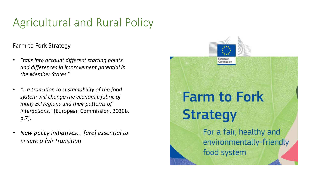# Agricultural and Rural Policy

### Farm to Fork Strategy

- *"take into account different starting points and differences in improvement potential in the Member States."*
- *"…a transition to sustainability of the food system will change the economic fabric of many EU regions and their patterns of interactions."* (European Commission, 2020b, p.7).
- *New policy initiatives... [are] essential to ensure a fair transition*